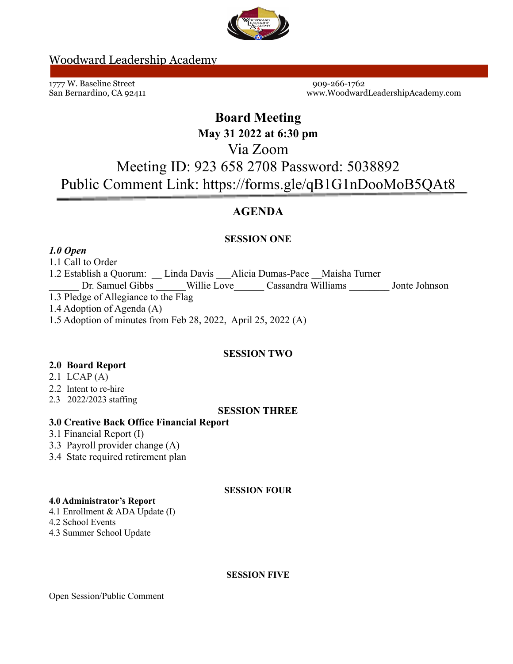

### Woodward Leadership Academy

1777 W. Baseline Street 909-266-1762

San Bernardino, CA 92411 www.WoodwardLeadershipAcademy.com

# **Board Meeting**

**May 31 2022 at 6:30 pm**

## Via Zoom

Meeting ID: 923 658 2708 Password: 5038892 Public Comment Link: https://forms.gle/qB1G1nDooMoB5QAt8

## **AGENDA**

#### **SESSION ONE**

#### *1.0 Open*

#### 1.1 Call to Order

1.2 Establish a Quorum: \_\_ Linda Davis \_\_\_Alicia Dumas-Pace \_\_Maisha Turner

Dr. Samuel Gibbs \_\_\_\_\_\_ Willie Love\_\_\_\_\_\_ Cassandra Williams \_\_\_\_\_\_\_\_ Jonte Johnson

- 1.3 Pledge of Allegiance to the Flag
- 1.4 Adoption of Agenda (A)
- 1.5 Adoption of minutes from Feb 28, 2022, April 25, 2022 (A)

#### **SESSION TWO**

#### **2.0 Board Report**

- 2.1 LCAP $(A)$
- 2.2 Intent to re-hire
- 2.3 2022/2023 staffing

#### **SESSION THREE**

#### **3.0 Creative Back Office Financial Report**

- 3.1 Financial Report (I)
- 3.3 Payroll provider change (A)
- 3.4 State required retirement plan

#### **SESSION FOUR**

#### **4.0 Administrator's Report**

- 4.1 Enrollment & ADA Update (I)
- 4.2 School Events
- 4.3 Summer School Update

#### **SESSION FIVE**

Open Session/Public Comment